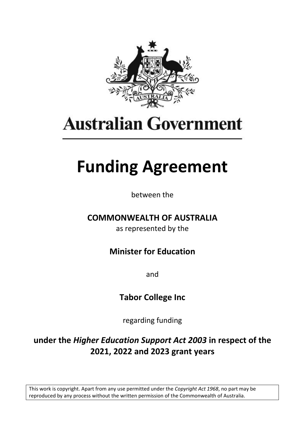

# **Australian Government**

# **Funding Agreement**

between the

# **COMMONWEALTH OF AUSTRALIA**

as represented by the

**Minister for Education** 

and

# **Tabor College Inc**

regarding funding

**under the** *Higher Education Support Act 2003* **in respect of the 2021, 2022 and 2023 grant years**

This work is copyright. Apart from any use permitted under the *Copyright Act 1968*, no part may be reproduced by any process without the written permission of the Commonwealth of Australia.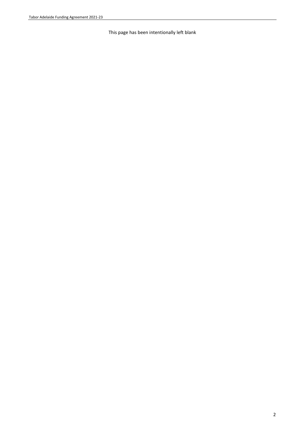This page has been intentionally left blank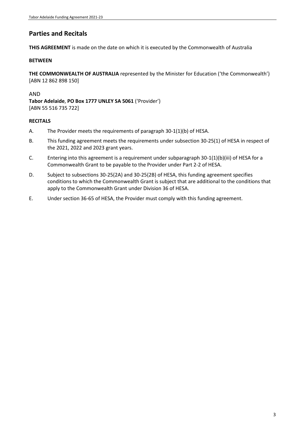# **Parties and Recitals**

**THIS AGREEMENT** is made on the date on which it is executed by the Commonwealth of Australia

### **BETWEEN**

**THE COMMONWEALTH OF AUSTRALIA** represented by the Minister for Education ('the Commonwealth') [ABN 12 862 898 150]

AND

**Tabor Adelaide**, **PO Box 1777 UNLEY SA 5061** ('Provider') [ABN 55 516 735 722]

# **RECITALS**

- A. The Provider meets the requirements of paragraph 30-1(1)(b) of HESA.
- B. This funding agreement meets the requirements under subsection 30-25(1) of HESA in respect of the 2021, 2022 and 2023 grant years.
- C. Entering into this agreement is a requirement under subparagraph 30-1(1)(b)(iii) of HESA for a Commonwealth Grant to be payable to the Provider under Part 2-2 of HESA.
- D. Subject to subsections 30-25(2A) and 30-25(2B) of HESA, this funding agreement specifies conditions to which the Commonwealth Grant is subject that are additional to the conditions that apply to the Commonwealth Grant under Division 36 of HESA.
- E. Under section 36-65 of HESA, the Provider must comply with this funding agreement.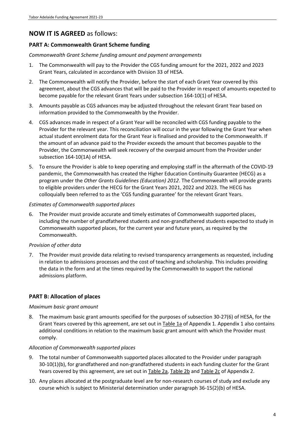# **NOW IT IS AGREED** as follows:

# **PART A: Commonwealth Grant Scheme funding**

*Commonwealth Grant Scheme funding amount and payment arrangements*

- 1. The Commonwealth will pay to the Provider the CGS funding amount for the 2021, 2022 and 2023 Grant Years, calculated in accordance with Division 33 of HESA.
- 2. The Commonwealth will notify the Provider, before the start of each Grant Year covered by this agreement, about the CGS advances that will be paid to the Provider in respect of amounts expected to become payable for the relevant Grant Years under subsection 164-10(1) of HESA.
- 3. Amounts payable as CGS advances may be adjusted throughout the relevant Grant Year based on information provided to the Commonwealth by the Provider.
- 4. CGS advances made in respect of a Grant Year will be reconciled with CGS funding payable to the Provider for the relevant year. This reconciliation will occur in the year following the Grant Year when actual student enrolment data for the Grant Year is finalised and provided to the Commonwealth. If the amount of an advance paid to the Provider exceeds the amount that becomes payable to the Provider, the Commonwealth will seek recovery of the overpaid amount from the Provider under subsection 164-10(1A) of HESA.
- 5. To ensure the Provider is able to keep operating and employing staff in the aftermath of the COVID-19 pandemic, the Commonwealth has created the Higher Education Continuity Guarantee (HECG) as a program under the *Other Grants Guidelines (Education) 2012*. The Commonwealth will provide grants to eligible providers under the HECG for the Grant Years 2021, 2022 and 2023. The HECG has colloquially been referred to as the 'CGS funding guarantee' for the relevant Grant Years.

# *Estimates of Commonwealth supported places*

6. The Provider must provide accurate and timely estimates of Commonwealth supported places, including the number of grandfathered students and non-grandfathered students expected to study in Commonwealth supported places, for the current year and future years, as required by the Commonwealth.

# *Provision of other data*

7. The Provider must provide data relating to revised transparency arrangements as requested, including in relation to admissions processes and the cost of teaching and scholarship. This includes providing the data in the form and at the times required by the Commonwealth to support the national admissions platform.

# **PART B: Allocation of places**

# *Maximum basic grant amount*

8. The maximum basic grant amounts specified for the purposes of subsection 30-27(6) of HESA, for the Grant Years covered by this agreement, are set out in Table 1a of Appendix 1. Appendix 1 also contains additional conditions in relation to the maximum basic grant amount with which the Provider must comply.

# *Allocation of Commonwealth supported places*

- 9. The total number of Commonwealth supported places allocated to the Provider under paragraph 30-10(1)(b), for grandfathered and non-grandfathered students in each funding cluster for the Grant Years covered by this agreement, are set out in Table 2a, Table 2b and Table 2c of Appendix 2.
- 10. Any places allocated at the postgraduate level are for non-research courses of study and exclude any course which is subject to Ministerial determination under paragraph 36-15(2)(b) of HESA.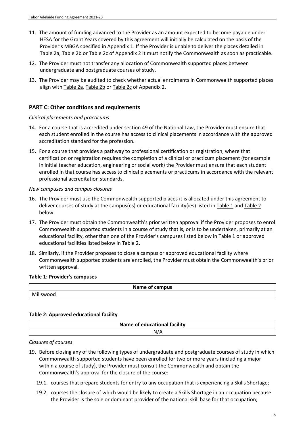- 11. The amount of funding advanced to the Provider as an amount expected to become payable under HESA for the Grant Years covered by this agreement will initially be calculated on the basis of the Provider's MBGA specified in Appendix 1. If the Provider is unable to deliver the places detailed in Table 2a, Table 2b or Table 2c of Appendix 2 it must notify the Commonwealth as soon as practicable.
- 12. The Provider must not transfer any allocation of Commonwealth supported places between undergraduate and postgraduate courses of study.
- 13. The Provider may be audited to check whether actual enrolments in Commonwealth supported places align with Table 2a, Table 2b or Table 2c of Appendix 2.

# **PART C: Other conditions and requirements**

#### *Clinical placements and practicums*

- 14. For a course that is accredited under section 49 of the National Law, the Provider must ensure that each student enrolled in the course has access to clinical placements in accordance with the approved accreditation standard for the profession.
- 15. For a course that provides a pathway to professional certification or registration, where that certification or registration requires the completion of a clinical or practicum placement (for example in initial teacher education, engineering or social work) the Provider must ensure that each student enrolled in that course has access to clinical placements or practicums in accordance with the relevant professional accreditation standards.

#### *New campuses and campus closures*

- 16. The Provider must use the Commonwealth supported places it is allocated under this agreement to deliver courses of study at the campus(es) or educational facility(ies) listed in Table 1 and Table 2 below.
- 17. The Provider must obtain the Commonwealth's prior written approval if the Provider proposes to enrol Commonwealth supported students in a course of study that is, or is to be undertaken, primarily at an educational facility, other than one of the Provider's campuses listed below in Table 1 or approved educational facilities listed below in Table 2.
- 18. Similarly, if the Provider proposes to close a campus or approved educational facility where Commonwealth supported students are enrolled, the Provider must obtain the Commonwealth's prior written approval.

#### **Table 1: Provider's campuses**

| Name of campus |  |  |  |
|----------------|--|--|--|
|                |  |  |  |

# **Table 2: Approved educational facility**

| Name of educational facility |  |  |
|------------------------------|--|--|
| N,                           |  |  |

*Closures of courses*

- 19. Before closing any of the following types of undergraduate and postgraduate courses of study in which Commonwealth supported students have been enrolled for two or more years (including a major within a course of study), the Provider must consult the Commonwealth and obtain the Commonwealth's approval for the closure of the course:
	- 19.1. courses that prepare students for entry to any occupation that is experiencing a Skills Shortage;
	- 19.2. courses the closure of which would be likely to create a Skills Shortage in an occupation because the Provider is the sole or dominant provider of the national skill base for that occupation;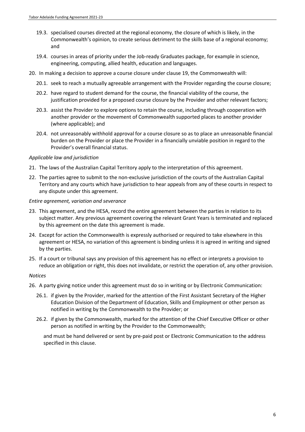- 19.3. specialised courses directed at the regional economy, the closure of which is likely, in the Commonwealth's opinion, to create serious detriment to the skills base of a regional economy; and
- 19.4. courses in areas of priority under the Job-ready Graduates package, for example in science, engineering, computing, allied health, education and languages.
- 20. In making a decision to approve a course closure under clause 19, the Commonwealth will:
	- 20.1. seek to reach a mutually agreeable arrangement with the Provider regarding the course closure;
	- 20.2. have regard to student demand for the course, the financial viability of the course, the justification provided for a proposed course closure by the Provider and other relevant factors;
	- 20.3. assist the Provider to explore options to retain the course, including through cooperation with another provider or the movement of Commonwealth supported places to another provider (where applicable); and
	- 20.4. not unreasonably withhold approval for a course closure so as to place an unreasonable financial burden on the Provider or place the Provider in a financially unviable position in regard to the Provider's overall financial status.

#### *Applicable law and jurisdiction*

- 21. The laws of the Australian Capital Territory apply to the interpretation of this agreement.
- 22. The parties agree to submit to the non-exclusive jurisdiction of the courts of the Australian Capital Territory and any courts which have jurisdiction to hear appeals from any of these courts in respect to any dispute under this agreement.

#### *Entire agreement, variation and severance*

- 23. This agreement, and the HESA, record the entire agreement between the parties in relation to its subject matter. Any previous agreement covering the relevant Grant Years is terminated and replaced by this agreement on the date this agreement is made.
- 24. Except for action the Commonwealth is expressly authorised or required to take elsewhere in this agreement or HESA, no variation of this agreement is binding unless it is agreed in writing and signed by the parties.
- 25. If a court or tribunal says any provision of this agreement has no effect or interprets a provision to reduce an obligation or right, this does not invalidate, or restrict the operation of, any other provision.

#### *Notices*

- 26. A party giving notice under this agreement must do so in writing or by Electronic Communication:
	- 26.1. if given by the Provider, marked for the attention of the First Assistant Secretary of the Higher Education Division of the Department of Education, Skills and Employment or other person as notified in writing by the Commonwealth to the Provider; or
	- 26.2. if given by the Commonwealth, marked for the attention of the Chief Executive Officer or other person as notified in writing by the Provider to the Commonwealth;

and must be hand delivered or sent by pre-paid post or Electronic Communication to the address specified in this clause.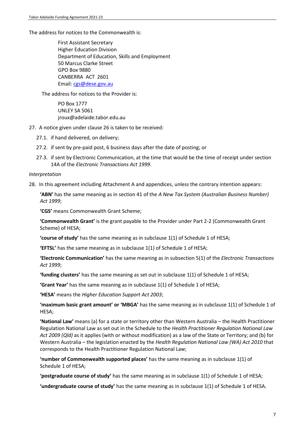The address for notices to the Commonwealth is:

First Assistant Secretary Higher Education Division Department of Education, Skills and Employment 50 Marcus Clarke Street GPO Box 9880 CANBERRA ACT 2601 Email: [cgs@dese.gov.au](mailto:cgs@dese.gov.au)

The address for notices to the Provider is:

PO Box 1777 UNLEY SA 5061 jroux@adelaide.tabor.edu.au

- 27. A notice given under clause 26 is taken to be received:
	- 27.1. if hand delivered, on delivery;
	- 27.2. if sent by pre-paid post, 6 business days after the date of posting; or
	- 27.3. if sent by Electronic Communication, at the time that would be the time of receipt under section 14A of the *Electronic Transactions Act 1999*.

*Interpretation*

28. In this agreement including Attachment A and appendices, unless the contrary intention appears:

**'ABN'** has the same meaning as in section 41 of the *A New Tax System (Australian Business Number) Act 1999*;

**'CGS'** means Commonwealth Grant Scheme;

**'Commonwealth Grant'** is the grant payable to the Provider under Part 2-2 (Commonwealth Grant Scheme) of HESA;

**'course of study'** has the same meaning as in subclause 1(1) of Schedule 1 of HESA;

**'EFTSL'** has the same meaning as in subclause 1(1) of Schedule 1 of HESA;

**'Electronic Communication'** has the same meaning as in subsection 5(1) of the *Electronic Transactions Act 1999*;

**'funding clusters'** has the same meaning as set out in subclause 1(1) of Schedule 1 of HESA;

**'Grant Year'** has the same meaning as in subclause 1(1) of Schedule 1 of HESA;

**'HESA'** means the *Higher Education Support Act 2003*;

**'maximum basic grant amount' or 'MBGA'** has the same meaning as in subclause 1(1) of Schedule 1 of HESA;

**'National Law'** means (a) for a state or territory other than Western Australia – the Health Practitioner Regulation National Law as set out in the Schedule to the *Health Practitioner Regulation National Law Act 2009 (Qld)* as it applies (with or without modification) as a law of the State or Territory; and (b) for Western Australia – the legislation enacted by the *Health Regulation National Law (WA) Act 2010* that corresponds to the Health Practitioner Regulation National Law;

**'number of Commonwealth supported places'** has the same meaning as in subclause 1(1) of Schedule 1 of HESA;

**'postgraduate course of study'** has the same meaning as in subclause 1(1) of Schedule 1 of HESA;

**'undergraduate course of study'** has the same meaning as in subclause 1(1) of Schedule 1 of HESA.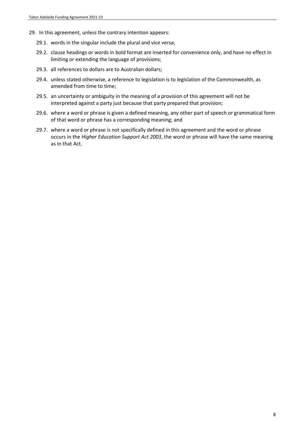- 29. In this agreement, unless the contrary intention appears:
	- 29.1. words in the singular include the plural and vice versa;
	- 29.2. clause headings or words in bold format are inserted for convenience only, and have no effect in limiting or extending the language of provisions;
	- 29.3. all references to dollars are to Australian dollars;
	- 29.4. unless stated otherwise, a reference to legislation is to legislation of the Commonwealth, as amended from time to time;
	- 29.5. an uncertainty or ambiguity in the meaning of a provision of this agreement will not be interpreted against a party just because that party prepared that provision;
	- 29.6. where a word or phrase is given a defined meaning, any other part of speech or grammatical form of that word or phrase has a corresponding meaning; and
	- 29.7. where a word or phrase is not specifically defined in this agreement and the word or phrase occurs in the *Higher Education Support Act 2003*, the word or phrase will have the same meaning as in that Act.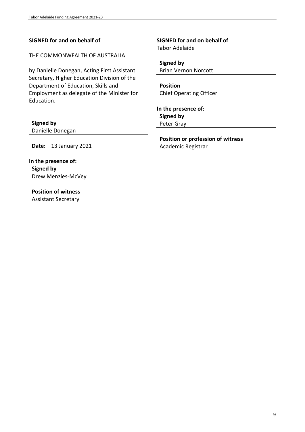# **SIGNED for and on behalf of**

THE COMMONWEALTH OF AUSTRALIA

by Danielle Donegan, Acting First Assistant Secretary, Higher Education Division of the Department of Education, Skills and Employment as delegate of the Minister for Education.

#### **Signed by**

Danielle Donegan

**Date:** 13 January 2021

**In the presence of: Signed by**  Drew Menzies-McVey

**Position of witness** 

Assistant Secretary

**SIGNED for and on behalf of** Tabor Adelaide

**Signed by**  Brian Vernon Norcott

**Position**  Chief Operating Officer

**In the presence of: Signed by**  Peter Gray

**Position or profession of witness**  Academic Registrar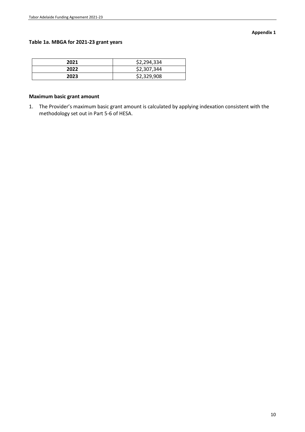#### **Appendix 1**

#### **Table 1a. MBGA for 2021-23 grant years**

| 2021 | \$2,294,334 |
|------|-------------|
| 2022 | \$2,307,344 |
| 2023 | \$2,329,908 |

#### **Maximum basic grant amount**

1. The Provider's maximum basic grant amount is calculated by applying indexation consistent with the methodology set out in Part 5-6 of HESA.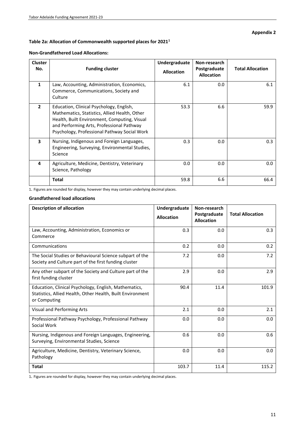#### **Table 2a: Allocation of Commonwealth supported places for 2021<sup>1</sup>**

#### **Non-Grandfathered Load Allocations:**

| <b>Cluster</b><br>No.   | <b>Funding cluster</b>                                                                                                                                                                                                                 | Undergraduate<br><b>Allocation</b> | Non-research<br>Postgraduate<br><b>Allocation</b> | <b>Total Allocation</b> |
|-------------------------|----------------------------------------------------------------------------------------------------------------------------------------------------------------------------------------------------------------------------------------|------------------------------------|---------------------------------------------------|-------------------------|
| 1                       | Law, Accounting, Administration, Economics,<br>Commerce, Communications, Society and<br>Culture                                                                                                                                        | 6.1                                | 0.0                                               | 6.1                     |
| $\overline{2}$          | Education, Clinical Psychology, English,<br>Mathematics, Statistics, Allied Health, Other<br>Health, Built Environment, Computing, Visual<br>and Performing Arts, Professional Pathway<br>Psychology, Professional Pathway Social Work | 53.3                               | 6.6                                               | 59.9                    |
| $\overline{\mathbf{3}}$ | Nursing, Indigenous and Foreign Languages,<br>Engineering, Surveying, Environmental Studies,<br>Science                                                                                                                                | 0.3                                | 0.0                                               | 0.3                     |
| 4                       | Agriculture, Medicine, Dentistry, Veterinary<br>Science, Pathology                                                                                                                                                                     | 0.0                                | 0.0                                               | 0.0                     |
|                         | <b>Total</b>                                                                                                                                                                                                                           | 59.8                               | 6.6                                               | 66.4                    |

1. Figures are rounded for display, however they may contain underlying decimal places.

#### **Grandfathered load allocations**

| <b>Description of allocation</b>                                                                                                    | Undergraduate     | Non-research                      |                         |
|-------------------------------------------------------------------------------------------------------------------------------------|-------------------|-----------------------------------|-------------------------|
|                                                                                                                                     | <b>Allocation</b> | Postgraduate<br><b>Allocation</b> | <b>Total Allocation</b> |
| Law, Accounting, Administration, Economics or<br>Commerce                                                                           | 0.3               | 0.0                               | 0.3                     |
| Communications                                                                                                                      | 0.2               | 0.0                               | 0.2                     |
| The Social Studies or Behavioural Science subpart of the<br>Society and Culture part of the first funding cluster                   | 7.2               | 0.0                               | 7.2                     |
| Any other subpart of the Society and Culture part of the<br>first funding cluster                                                   | 2.9               | 0.0                               | 2.9                     |
| Education, Clinical Psychology, English, Mathematics,<br>Statistics, Allied Health, Other Health, Built Environment<br>or Computing | 90.4              | 11.4                              | 101.9                   |
| Visual and Performing Arts                                                                                                          | 2.1               | 0.0                               | 2.1                     |
| Professional Pathway Psychology, Professional Pathway<br>Social Work                                                                | 0.0               | 0.0                               | 0.0                     |
| Nursing, Indigenous and Foreign Languages, Engineering,<br>Surveying, Environmental Studies, Science                                | 0.6               | 0.0                               | 0.6                     |
| Agriculture, Medicine, Dentistry, Veterinary Science,<br>Pathology                                                                  | 0.0               | 0.0                               | 0.0                     |
| <b>Total</b>                                                                                                                        | 103.7             | 11.4                              | 115.2                   |

1. Figures are rounded for display, however they may contain underlying decimal places.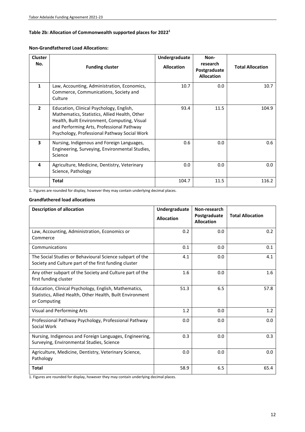#### **Table 2b: Allocation of Commonwealth supported places for 2022 1**

| <b>Non-Grandfathered Load Allocations:</b> |  |
|--------------------------------------------|--|
|--------------------------------------------|--|

| <b>Cluster</b><br>No. | <b>Funding cluster</b>                                                                                                                                                                                                                 | Undergraduate<br><b>Allocation</b> | Non-<br>research<br>Postgraduate<br><b>Allocation</b> | <b>Total Allocation</b> |
|-----------------------|----------------------------------------------------------------------------------------------------------------------------------------------------------------------------------------------------------------------------------------|------------------------------------|-------------------------------------------------------|-------------------------|
| 1                     | Law, Accounting, Administration, Economics,<br>Commerce, Communications, Society and<br>Culture                                                                                                                                        | 10.7                               | 0.0                                                   | 10.7                    |
| $\overline{2}$        | Education, Clinical Psychology, English,<br>Mathematics, Statistics, Allied Health, Other<br>Health, Built Environment, Computing, Visual<br>and Performing Arts, Professional Pathway<br>Psychology, Professional Pathway Social Work | 93.4                               | 11.5                                                  | 104.9                   |
| 3                     | Nursing, Indigenous and Foreign Languages,<br>Engineering, Surveying, Environmental Studies,<br>Science                                                                                                                                | 0.6                                | 0.0                                                   | 0.6                     |
| 4                     | Agriculture, Medicine, Dentistry, Veterinary<br>Science, Pathology                                                                                                                                                                     | 0.0                                | 0.0                                                   | 0.0                     |
|                       | <b>Total</b>                                                                                                                                                                                                                           | 104.7                              | 11.5                                                  | 116.2                   |

1. Figures are rounded for display, however they may contain underlying decimal places.

# **Grandfathered load allocations**

| <b>Description of allocation</b>                                                                                                    | Undergraduate     | Non-research                      |                         |
|-------------------------------------------------------------------------------------------------------------------------------------|-------------------|-----------------------------------|-------------------------|
|                                                                                                                                     | <b>Allocation</b> | Postgraduate<br><b>Allocation</b> | <b>Total Allocation</b> |
| Law, Accounting, Administration, Economics or<br>Commerce                                                                           | 0.2               | 0.0                               | 0.2                     |
| Communications                                                                                                                      | 0.1               | 0.0                               | 0.1                     |
| The Social Studies or Behavioural Science subpart of the<br>Society and Culture part of the first funding cluster                   | 4.1               | 0.0                               | 4.1                     |
| Any other subpart of the Society and Culture part of the<br>first funding cluster                                                   | 1.6               | 0.0                               | 1.6                     |
| Education, Clinical Psychology, English, Mathematics,<br>Statistics, Allied Health, Other Health, Built Environment<br>or Computing | 51.3              | 6.5                               | 57.8                    |
| Visual and Performing Arts                                                                                                          | 1.2               | 0.0                               | 1.2                     |
| Professional Pathway Psychology, Professional Pathway<br>Social Work                                                                | 0.0               | 0.0                               | 0.0                     |
| Nursing, Indigenous and Foreign Languages, Engineering,<br>Surveying, Environmental Studies, Science                                | 0.3               | 0.0                               | 0.3                     |
| Agriculture, Medicine, Dentistry, Veterinary Science,<br>Pathology                                                                  | 0.0               | 0.0                               | 0.0                     |
| <b>Total</b>                                                                                                                        | 58.9              | 6.5                               | 65.4                    |

1. Figures are rounded for display, however they may contain underlying decimal places.